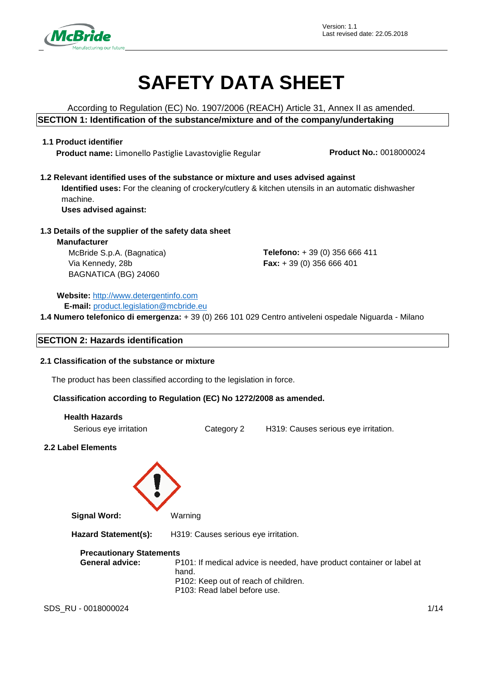

# **SAFETY DATA SHEET**

According to Regulation (EC) No. 1907/2006 (REACH) Article 31, Annex II as amended. **SECTION 1: Identification of the substance/mixture and of the company/undertaking**

### **1.1 Product identifier**

**Product name:** Limonello Pastiglie Lavastoviglie Regular **Product No.:** 0018000024

**1.2 Relevant identified uses of the substance or mixture and uses advised against Identified uses:** For the cleaning of crockery/cutlery & kitchen utensils in an automatic dishwasher machine.

**Uses advised against:**

### **1.3 Details of the supplier of the safety data sheet**

**Manufacturer** McBride S.p.A. (Bagnatica) Via Kennedy, 28b BAGNATICA (BG) 24060

**Telefono:** + 39 (0) 356 666 411 **Fax:** + 39 (0) 356 666 401

**Website:** [http://www.detergentinfo.com](http://www.detergentinfo.com/) **E-mail:** [product.legislation@mcbride.eu](mailto:product.legislation@mcbride.eu)

**1.4 Numero telefonico di emergenza:** + 39 (0) 266 101 029 Centro antiveleni ospedale Niguarda - Milano

### **SECTION 2: Hazards identification**

### **2.1 Classification of the substance or mixture**

The product has been classified according to the legislation in force.

### **Classification according to Regulation (EC) No 1272/2008 as amended.**

| <b>Health Hazards</b>  |            |                                      |
|------------------------|------------|--------------------------------------|
| Serious eye irritation | Category 2 | H319: Causes serious eye irritation. |

### **2.2 Label Elements**



**Signal Word:** Warning

**Hazard Statement(s):** H319: Causes serious eye irritation.

### **Precautionary Statements**

**General advice:** P101: If medical advice is needed, have product container or label at hand. P102: Keep out of reach of children. P103: Read label before use.

SDS RU - 0018000024 1/14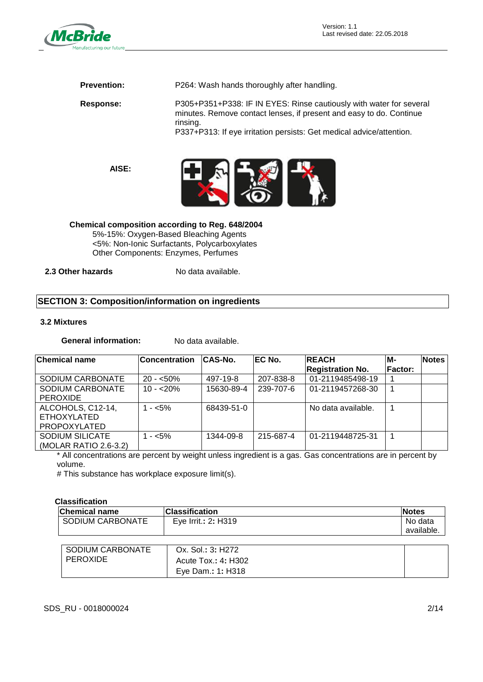

**Prevention:** P264: Wash hands thoroughly after handling.

**Response:** P305+P351+P338: IF IN EYES: Rinse cautiously with water for several minutes. Remove contact lenses, if present and easy to do. Continue rinsing.

P337+P313: If eye irritation persists: Get medical advice/attention.

**AISE:**



**Chemical composition according to Reg. 648/2004**  5%-15%: Oxygen-Based Bleaching Agents <5%: Non-Ionic Surfactants, Polycarboxylates Other Components: Enzymes, Perfumes

**2.3 Other hazards** No data available.

### **SECTION 3: Composition/information on ingredients**

### **3.2 Mixtures**

**General information:** No data available.

| <b>Chemical name</b>                                           | <b>Concentration</b> | <b>CAS-No.</b> | <b>IEC No.</b> | <b>REACH</b><br><b>Registration No.</b> | M-<br><b>Factor:</b> | <b>Notes</b> |
|----------------------------------------------------------------|----------------------|----------------|----------------|-----------------------------------------|----------------------|--------------|
| SODIUM CARBONATE                                               | $20 - 50\%$          | 497-19-8       | 207-838-8      | 01-2119485498-19                        |                      |              |
| SODIUM CARBONATE<br><b>PEROXIDE</b>                            | $10 - 20\%$          | 15630-89-4     | 239-707-6      | 01-2119457268-30                        |                      |              |
| ALCOHOLS, C12-14,<br><b>ETHOXYLATED</b><br><b>PROPOXYLATED</b> | $1 - 5\%$            | 68439-51-0     |                | No data available.                      |                      |              |
| <b>SODIUM SILICATE</b><br>(MOLAR RATIO 2.6-3.2)                | $1 - 5\%$            | 1344-09-8      | 215-687-4      | 01-2119448725-31                        |                      |              |

\* All concentrations are percent by weight unless ingredient is a gas. Gas concentrations are in percent by volume.

# This substance has workplace exposure limit(s).

### **Classification**

| <b>Chemical name</b> | Classification      | <b>Notes</b> |
|----------------------|---------------------|--------------|
| SODIUM CARBONATE     | Eye Irrit.: 2: H319 | No data      |
|                      |                     | available.   |
|                      |                     |              |
| SODIUM CARBONATE     | Ox. Sol.: 3: H272   |              |
| <b>PEROXIDE</b>      | Acute Tox.: 4: H302 |              |
|                      | Eye Dam.: 1: H318   |              |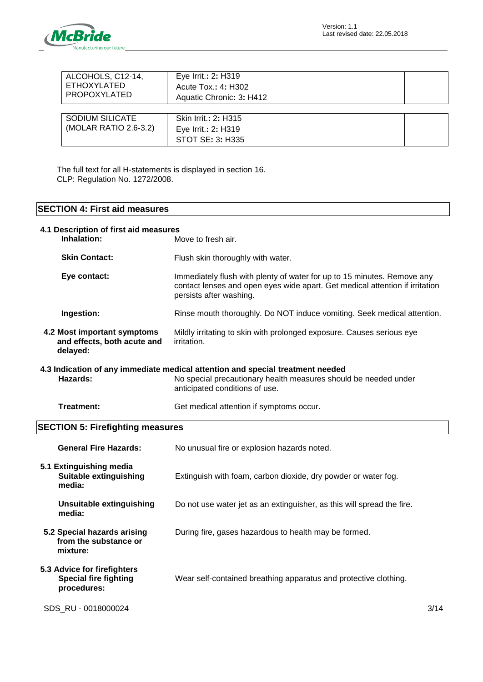

| ALCOHOLS, C12-14,<br>ETHOXYLATED<br>PROPOXYLATED | Eye Irrit.: 2: H319<br>Acute Tox.: 4: H302<br>Aquatic Chronic: 3: H412 |  |
|--------------------------------------------------|------------------------------------------------------------------------|--|
| <b>SODIUM SILICATE</b><br>(MOLAR RATIO 2.6-3.2)  | Skin Irrit.: 2: H315<br>Eye Irrit.: 2: H319<br>STOT SE: 3: H335        |  |

The full text for all H-statements is displayed in section 16. CLP: Regulation No. 1272/2008.

## **SECTION 4: First aid measures**

| 4.1 Description of first aid measures<br>Inhalation:                       | Move to fresh air.                                                                                                                                                                  |
|----------------------------------------------------------------------------|-------------------------------------------------------------------------------------------------------------------------------------------------------------------------------------|
| <b>Skin Contact:</b>                                                       | Flush skin thoroughly with water.                                                                                                                                                   |
| Eye contact:                                                               | Immediately flush with plenty of water for up to 15 minutes. Remove any<br>contact lenses and open eyes wide apart. Get medical attention if irritation<br>persists after washing.  |
| Ingestion:                                                                 | Rinse mouth thoroughly. Do NOT induce vomiting. Seek medical attention.                                                                                                             |
| 4.2 Most important symptoms<br>and effects, both acute and<br>delayed:     | Mildly irritating to skin with prolonged exposure. Causes serious eye<br><i>irritation.</i>                                                                                         |
| Hazards:                                                                   | 4.3 Indication of any immediate medical attention and special treatment needed<br>No special precautionary health measures should be needed under<br>anticipated conditions of use. |
| <b>Treatment:</b>                                                          | Get medical attention if symptoms occur.                                                                                                                                            |
| <b>SECTION 5: Firefighting measures</b>                                    |                                                                                                                                                                                     |
| <b>General Fire Hazards:</b>                                               | No unusual fire or explosion hazards noted.                                                                                                                                         |
| 5.1 Extinguishing media<br>Suitable extinguishing<br>media:                | Extinguish with foam, carbon dioxide, dry powder or water fog.                                                                                                                      |
| <b>Unsuitable extinguishing</b><br>media:                                  | Do not use water jet as an extinguisher, as this will spread the fire.                                                                                                              |
| 5.2 Special hazards arising<br>from the substance or<br>mixture:           | During fire, gases hazardous to health may be formed.                                                                                                                               |
| 5.3 Advice for firefighters<br><b>Special fire fighting</b><br>procedures: | Wear self-contained breathing apparatus and protective clothing.                                                                                                                    |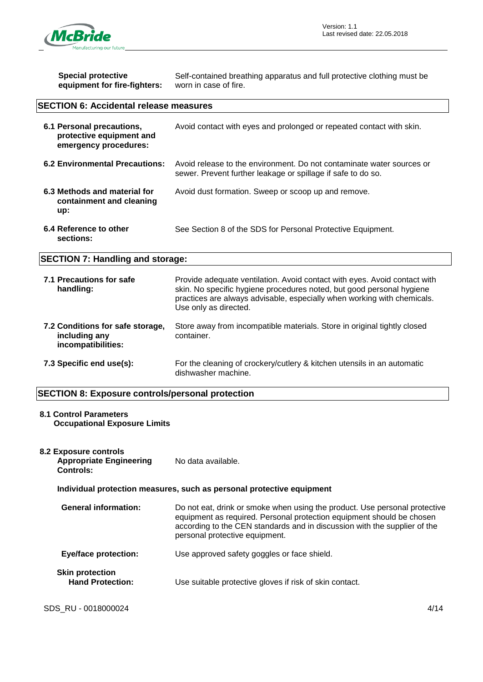

| <b>Special protective</b><br>equipment for fire-fighters:                      | Self-contained breathing apparatus and full protective clothing must be<br>worn in case of fire.                                                                                                                                                       |  |
|--------------------------------------------------------------------------------|--------------------------------------------------------------------------------------------------------------------------------------------------------------------------------------------------------------------------------------------------------|--|
| <b>SECTION 6: Accidental release measures</b>                                  |                                                                                                                                                                                                                                                        |  |
| 6.1 Personal precautions,<br>protective equipment and<br>emergency procedures: | Avoid contact with eyes and prolonged or repeated contact with skin.                                                                                                                                                                                   |  |
| <b>6.2 Environmental Precautions:</b>                                          | Avoid release to the environment. Do not contaminate water sources or<br>sewer. Prevent further leakage or spillage if safe to do so.                                                                                                                  |  |
| 6.3 Methods and material for<br>containment and cleaning<br>up:                | Avoid dust formation. Sweep or scoop up and remove.                                                                                                                                                                                                    |  |
| 6.4 Reference to other<br>sections:                                            | See Section 8 of the SDS for Personal Protective Equipment.                                                                                                                                                                                            |  |
| <b>SECTION 7: Handling and storage:</b>                                        |                                                                                                                                                                                                                                                        |  |
| 7.1 Precautions for safe<br>handling:                                          | Provide adequate ventilation. Avoid contact with eyes. Avoid contact with<br>skin. No specific hygiene procedures noted, but good personal hygiene<br>practices are always advisable, especially when working with chemicals.<br>Use only as directed. |  |
| 7.2 Conditions for safe storage,<br>including any<br>incompatibilities:        | Store away from incompatible materials. Store in original tightly closed<br>container.                                                                                                                                                                 |  |
| 7.3 Specific end use(s):                                                       | For the cleaning of crockery/cutlery & kitchen utensils in an automatic<br>dishwasher machine.                                                                                                                                                         |  |
| <b>SECTION 8: Exposure controls/personal protection</b>                        |                                                                                                                                                                                                                                                        |  |

## **8.1 Control Parameters**

**Occupational Exposure Limits**

| 8.2 Exposure controls<br><b>Appropriate Engineering</b><br>Controls: | No data available.                                                                                                                                                                                                                                                 |
|----------------------------------------------------------------------|--------------------------------------------------------------------------------------------------------------------------------------------------------------------------------------------------------------------------------------------------------------------|
|                                                                      | Individual protection measures, such as personal protective equipment                                                                                                                                                                                              |
| <b>General information:</b>                                          | Do not eat, drink or smoke when using the product. Use personal protective<br>equipment as required. Personal protection equipment should be chosen<br>according to the CEN standards and in discussion with the supplier of the<br>personal protective equipment. |
| <b>Eye/face protection:</b>                                          | Use approved safety goggles or face shield.                                                                                                                                                                                                                        |
| <b>Skin protection</b><br><b>Hand Protection:</b>                    | Use suitable protective gloves if risk of skin contact.                                                                                                                                                                                                            |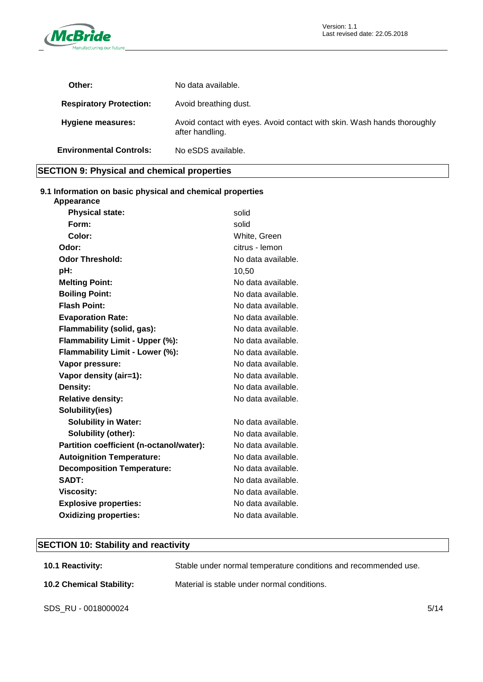

| Other:                         | No data available.                                                                         |
|--------------------------------|--------------------------------------------------------------------------------------------|
| <b>Respiratory Protection:</b> | Avoid breathing dust.                                                                      |
| <b>Hygiene measures:</b>       | Avoid contact with eyes. Avoid contact with skin. Wash hands thoroughly<br>after handling. |
| <b>Environmental Controls:</b> | No eSDS available.                                                                         |
|                                |                                                                                            |

### **SECTION 9: Physical and chemical properties**

### **9.1 Information on basic physical and chemical properties**

| Appearance                               |                    |
|------------------------------------------|--------------------|
| <b>Physical state:</b>                   | solid              |
| Form:                                    | solid              |
| Color:                                   | White, Green       |
| Odor:                                    | citrus - lemon     |
| <b>Odor Threshold:</b>                   | No data available. |
| pH:                                      | 10,50              |
| <b>Melting Point:</b>                    | No data available. |
| <b>Boiling Point:</b>                    | No data available. |
| <b>Flash Point:</b>                      | No data available. |
| <b>Evaporation Rate:</b>                 | No data available. |
| Flammability (solid, gas):               | No data available. |
| Flammability Limit - Upper (%):          | No data available. |
| Flammability Limit - Lower (%):          | No data available. |
| Vapor pressure:                          | No data available. |
| Vapor density (air=1):                   | No data available. |
| Density:                                 | No data available. |
| <b>Relative density:</b>                 | No data available. |
| Solubility(ies)                          |                    |
| <b>Solubility in Water:</b>              | No data available. |
| Solubility (other):                      | No data available. |
| Partition coefficient (n-octanol/water): | No data available. |
| <b>Autoignition Temperature:</b>         | No data available. |
| <b>Decomposition Temperature:</b>        | No data available. |
| SADT:                                    | No data available. |
| <b>Viscosity:</b>                        | No data available. |
| <b>Explosive properties:</b>             | No data available. |
| <b>Oxidizing properties:</b>             | No data available. |

## **SECTION 10: Stability and reactivity**

| <b>10.1 Reactivity:</b>         | Stable under normal temperature conditions and recommended use. |      |
|---------------------------------|-----------------------------------------------------------------|------|
| <b>10.2 Chemical Stability:</b> | Material is stable under normal conditions.                     |      |
| SDS_RU - 0018000024             |                                                                 | 5/14 |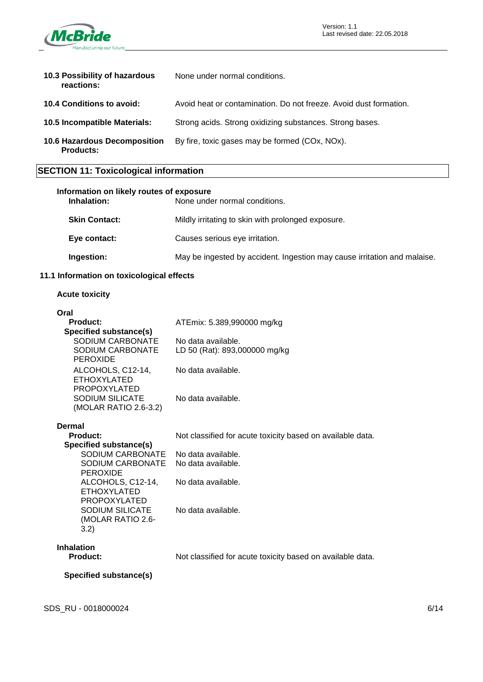

| 10.3 Possibility of hazardous<br>reactions:      | None under normal conditions.                                     |
|--------------------------------------------------|-------------------------------------------------------------------|
| <b>10.4 Conditions to avoid:</b>                 | Avoid heat or contamination. Do not freeze. Avoid dust formation. |
| <b>10.5 Incompatible Materials:</b>              | Strong acids. Strong oxidizing substances. Strong bases.          |
| 10.6 Hazardous Decomposition<br><b>Products:</b> | By fire, toxic gases may be formed (COx, NOx).                    |

## **SECTION 11: Toxicological information**

| Information on likely routes of exposure<br>Inhalation: | None under normal conditions.                                            |
|---------------------------------------------------------|--------------------------------------------------------------------------|
| <b>Skin Contact:</b>                                    | Mildly irritating to skin with prolonged exposure.                       |
| Eye contact:                                            | Causes serious eye irritation.                                           |
| Ingestion:                                              | May be ingested by accident. Ingestion may cause irritation and malaise. |

### **11.1 Information on toxicological effects**

### **Acute toxicity**

| Oral                                                                   |                                                            |
|------------------------------------------------------------------------|------------------------------------------------------------|
| Product:                                                               | ATEmix: 5.389,990000 mg/kg                                 |
| Specified substance(s)                                                 |                                                            |
| SODIUM CARBONATE                                                       | No data available.                                         |
| SODIUM CARBONATE<br><b>PEROXIDE</b>                                    | LD 50 (Rat): 893,000000 mg/kg                              |
| ALCOHOLS, C12-14,<br><b>ETHOXYLATED</b>                                | No data available.                                         |
| <b>PROPOXYLATED</b><br><b>SODIUM SILICATE</b><br>(MOLAR RATIO 2.6-3.2) | No data available.                                         |
| Dermal                                                                 |                                                            |
| <b>Product:</b>                                                        | Not classified for acute toxicity based on available data. |
| Specified substance(s)                                                 |                                                            |
| SODIUM CARBONATE                                                       | No data available.                                         |
| SODIUM CARBONATE                                                       | No data available.                                         |
| <b>PEROXIDE</b>                                                        |                                                            |
| ALCOHOLS, C12-14,                                                      | No data available.                                         |
| <b>ETHOXYLATED</b>                                                     |                                                            |
| <b>PROPOXYLATED</b>                                                    |                                                            |
| <b>SODIUM SILICATE</b><br>(MOLAR RATIO 2.6-                            | No data available.                                         |
| 3.2)                                                                   |                                                            |
|                                                                        |                                                            |

## **Inhalation**

Not classified for acute toxicity based on available data.

### **Specified substance(s)**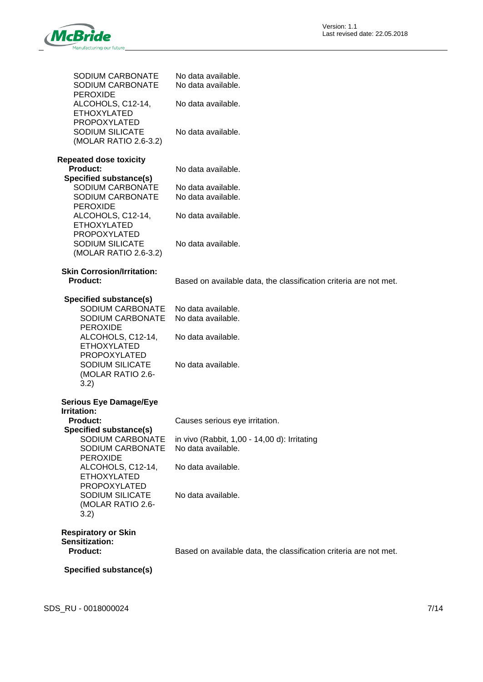

| SODIUM CARBONATE<br>SODIUM CARBONATE<br>PEROXIDE                                                                                                                                             | No data available.<br>No data available.                                             |
|----------------------------------------------------------------------------------------------------------------------------------------------------------------------------------------------|--------------------------------------------------------------------------------------|
| ALCOHOLS, C12-14,<br><b>ETHOXYLATED</b>                                                                                                                                                      | No data available.                                                                   |
| <b>PROPOXYLATED</b><br><b>SODIUM SILICATE</b><br>(MOLAR RATIO 2.6-3.2)                                                                                                                       | No data available.                                                                   |
| <b>Repeated dose toxicity</b><br><b>Product:</b>                                                                                                                                             | No data available.                                                                   |
| <b>Specified substance(s)</b><br>SODIUM CARBONATE<br>SODIUM CARBONATE                                                                                                                        | No data available.<br>No data available.                                             |
| <b>PEROXIDE</b><br>ALCOHOLS, C12-14,<br><b>ETHOXYLATED</b>                                                                                                                                   | No data available.                                                                   |
| <b>PROPOXYLATED</b><br><b>SODIUM SILICATE</b><br>(MOLAR RATIO 2.6-3.2)                                                                                                                       | No data available.                                                                   |
| <b>Skin Corrosion/Irritation:</b><br><b>Product:</b>                                                                                                                                         | Based on available data, the classification criteria are not met.                    |
| Specified substance(s)<br>SODIUM CARBONATE<br>SODIUM CARBONATE<br><b>PEROXIDE</b><br>ALCOHOLS, C12-14,<br><b>ETHOXYLATED</b><br>PROPOXYLATED<br>SODIUM SILICATE<br>(MOLAR RATIO 2.6-<br>3.2) | No data available.<br>No data available.<br>No data available.<br>No data available. |
| <b>Serious Eye Damage/Eye</b><br>Irritation:                                                                                                                                                 |                                                                                      |
| <b>Product:</b><br>Specified substance(s)                                                                                                                                                    | Causes serious eye irritation.                                                       |
| SODIUM CARBONATE<br>SODIUM CARBONATE<br><b>PEROXIDE</b>                                                                                                                                      | in vivo (Rabbit, 1,00 - 14,00 d): Irritating<br>No data available.                   |
| ALCOHOLS, C12-14,<br><b>ETHOXYLATED</b><br><b>PROPOXYLATED</b>                                                                                                                               | No data available.                                                                   |
| <b>SODIUM SILICATE</b><br>(MOLAR RATIO 2.6-<br>3.2)                                                                                                                                          | No data available.                                                                   |
| <b>Respiratory or Skin</b><br>Sensitization:<br><b>Product:</b>                                                                                                                              | Based on available data, the classification criteria are not met.                    |
| Specified substance(s)                                                                                                                                                                       |                                                                                      |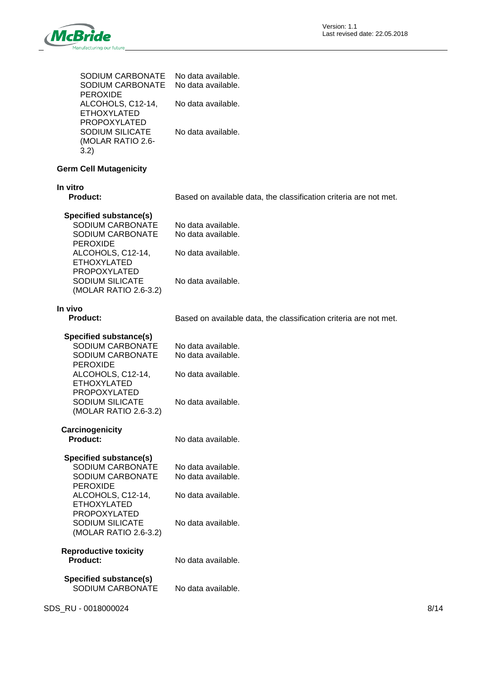

| <b>SODIUM CARBONATE</b><br>SODIUM CARBONATE<br><b>PEROXIDE</b>                    | No data available.<br>No data available.                          |
|-----------------------------------------------------------------------------------|-------------------------------------------------------------------|
| ALCOHOLS, C12-14,<br><b>ETHOXYLATED</b>                                           | No data available.                                                |
| <b>PROPOXYLATED</b><br><b>SODIUM SILICATE</b><br>(MOLAR RATIO 2.6-<br>3.2)        | No data available.                                                |
| <b>Germ Cell Mutagenicity</b>                                                     |                                                                   |
| In vitro<br><b>Product:</b>                                                       | Based on available data, the classification criteria are not met. |
| Specified substance(s)<br>SODIUM CARBONATE<br>SODIUM CARBONATE<br><b>PEROXIDE</b> | No data available.<br>No data available.                          |
| ALCOHOLS, C12-14,<br><b>ETHOXYLATED</b><br>PROPOXYLATED                           | No data available.                                                |
| <b>SODIUM SILICATE</b><br>(MOLAR RATIO 2.6-3.2)                                   | No data available.                                                |
| In vivo<br><b>Product:</b>                                                        | Based on available data, the classification criteria are not met. |
| Specified substance(s)<br>SODIUM CARBONATE<br>SODIUM CARBONATE<br><b>PEROXIDE</b> | No data available.<br>No data available.                          |
| ALCOHOLS, C12-14,<br><b>ETHOXYLATED</b><br>PROPOXYLATED                           | No data available.                                                |
| <b>SODIUM SILICATE</b><br>(MOLAR RATIO 2.6-3.2)                                   | No data available.                                                |
| Carcinogenicity<br><b>Product:</b>                                                | No data available.                                                |
| Specified substance(s)<br>SODIUM CARBONATE<br>SODIUM CARBONATE<br><b>PEROXIDE</b> | No data available.<br>No data available.                          |
| ALCOHOLS, C12-14,<br><b>ETHOXYLATED</b><br>PROPOXYLATED                           | No data available.                                                |
| <b>SODIUM SILICATE</b><br>(MOLAR RATIO 2.6-3.2)                                   | No data available.                                                |
| <b>Reproductive toxicity</b><br><b>Product:</b>                                   | No data available.                                                |
| <b>Specified substance(s)</b><br>SODIUM CARBONATE                                 | No data available.                                                |

SDS\_RU - 0018000024 8/14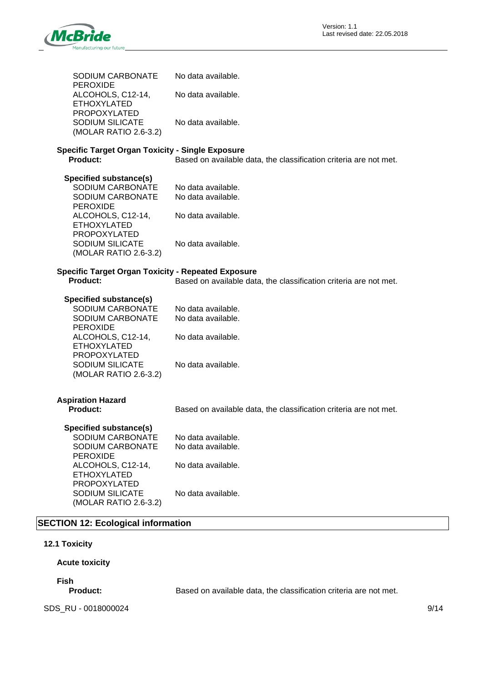

| SODIUM CARBONATE                                                                                                                                                                                       | No data available.                                                                   |
|--------------------------------------------------------------------------------------------------------------------------------------------------------------------------------------------------------|--------------------------------------------------------------------------------------|
| <b>PEROXIDE</b><br>ALCOHOLS, C12-14,<br><b>ETHOXYLATED</b>                                                                                                                                             | No data available.                                                                   |
| PROPOXYLATED<br><b>SODIUM SILICATE</b><br>(MOLAR RATIO 2.6-3.2)                                                                                                                                        | No data available.                                                                   |
| <b>Specific Target Organ Toxicity - Single Exposure</b><br><b>Product:</b>                                                                                                                             | Based on available data, the classification criteria are not met.                    |
| Specified substance(s)<br>SODIUM CARBONATE<br>SODIUM CARBONATE<br><b>PEROXIDE</b><br>ALCOHOLS, C12-14,<br><b>ETHOXYLATED</b><br>PROPOXYLATED<br><b>SODIUM SILICATE</b><br>(MOLAR RATIO 2.6-3.2)        | No data available.<br>No data available.<br>No data available.<br>No data available. |
| <b>Specific Target Organ Toxicity - Repeated Exposure</b><br><b>Product:</b>                                                                                                                           | Based on available data, the classification criteria are not met.                    |
| <b>Specified substance(s)</b><br>SODIUM CARBONATE<br>SODIUM CARBONATE<br><b>PEROXIDE</b><br>ALCOHOLS, C12-14,<br><b>ETHOXYLATED</b><br>PROPOXYLATED<br><b>SODIUM SILICATE</b><br>(MOLAR RATIO 2.6-3.2) | No data available.<br>No data available.<br>No data available.<br>No data available. |
| <b>Aspiration Hazard</b><br><b>Product:</b>                                                                                                                                                            | Based on available data, the classification criteria are not met.                    |
| <b>Specified substance(s)</b><br>SODIUM CARBONATE<br>SODIUM CARBONATE<br><b>PEROXIDE</b><br>ALCOHOLS, C12-14,<br><b>ETHOXYLATED</b><br><b>PROPOXYLATED</b><br>SODIUM SILICATE<br>(MOLAR RATIO 2.6-3.2) | No data available.<br>No data available.<br>No data available.<br>No data available. |

## **SECTION 12: Ecological information**

### **12.1 Toxicity**

### **Acute toxicity**

**Fish**

Based on available data, the classification criteria are not met.

SDS\_RU - 0018000024 9/14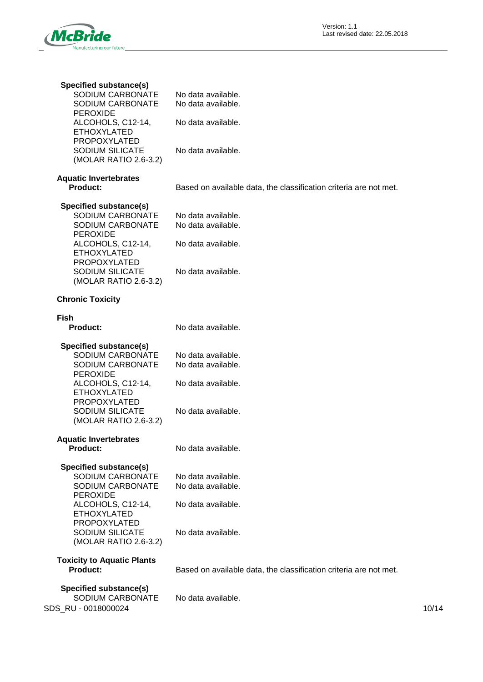

| <b>Specified substance(s)</b><br>SODIUM CARBONATE<br>SODIUM CARBONATE<br><b>PEROXIDE</b><br>ALCOHOLS, C12-14,<br><b>ETHOXYLATED</b><br><b>PROPOXYLATED</b><br><b>SODIUM SILICATE</b><br>(MOLAR RATIO 2.6-3.2) | No data available.<br>No data available.<br>No data available.<br>No data available. |       |
|---------------------------------------------------------------------------------------------------------------------------------------------------------------------------------------------------------------|--------------------------------------------------------------------------------------|-------|
| <b>Aquatic Invertebrates</b><br><b>Product:</b>                                                                                                                                                               | Based on available data, the classification criteria are not met.                    |       |
| <b>Specified substance(s)</b><br>SODIUM CARBONATE<br>SODIUM CARBONATE<br><b>PEROXIDE</b><br>ALCOHOLS, C12-14,<br><b>ETHOXYLATED</b><br><b>PROPOXYLATED</b><br><b>SODIUM SILICATE</b><br>(MOLAR RATIO 2.6-3.2) | No data available.<br>No data available.<br>No data available.<br>No data available. |       |
| <b>Chronic Toxicity</b>                                                                                                                                                                                       |                                                                                      |       |
| <b>Fish</b><br><b>Product:</b>                                                                                                                                                                                | No data available.                                                                   |       |
| Specified substance(s)<br>SODIUM CARBONATE<br>SODIUM CARBONATE<br><b>PEROXIDE</b><br>ALCOHOLS, C12-14,<br><b>ETHOXYLATED</b><br><b>PROPOXYLATED</b><br><b>SODIUM SILICATE</b><br>(MOLAR RATIO 2.6-3.2)        | No data available.<br>No data available.<br>No data available.<br>No data available. |       |
| <b>Aquatic Invertebrates</b><br><b>Product:</b>                                                                                                                                                               | No data available.                                                                   |       |
| Specified substance(s)<br>SODIUM CARBONATE<br>SODIUM CARBONATE<br><b>PEROXIDE</b><br>ALCOHOLS, C12-14,<br><b>ETHOXYLATED</b><br>PROPOXYLATED<br><b>SODIUM SILICATE</b><br>(MOLAR RATIO 2.6-3.2)               | No data available.<br>No data available.<br>No data available.<br>No data available. |       |
| <b>Toxicity to Aquatic Plants</b><br><b>Product:</b>                                                                                                                                                          | Based on available data, the classification criteria are not met.                    |       |
| <b>Specified substance(s)</b><br>SODIUM CARBONATE<br>SDS_RU - 0018000024                                                                                                                                      | No data available.                                                                   | 10/14 |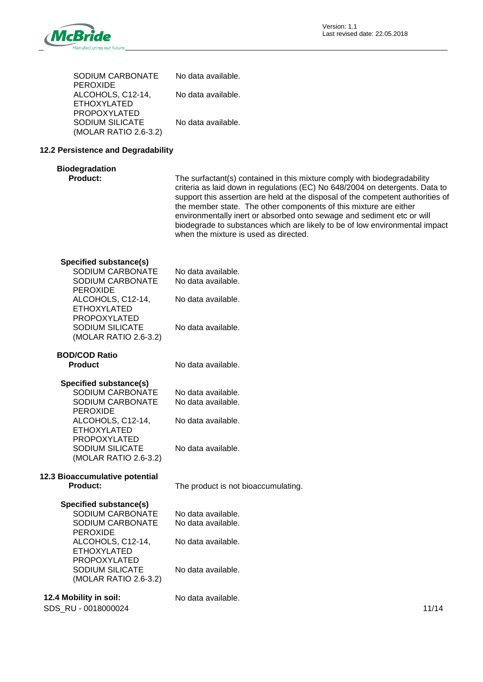

| SODIUM CARBONATE<br><b>PEROXIDE</b>                                               | No data available.                                                                                                                                                                                                                                                                                                                                                                                                                                                                                                 |
|-----------------------------------------------------------------------------------|--------------------------------------------------------------------------------------------------------------------------------------------------------------------------------------------------------------------------------------------------------------------------------------------------------------------------------------------------------------------------------------------------------------------------------------------------------------------------------------------------------------------|
| ALCOHOLS, C12-14,<br><b>ETHOXYLATED</b>                                           | No data available.                                                                                                                                                                                                                                                                                                                                                                                                                                                                                                 |
| <b>PROPOXYLATED</b><br>SODIUM SILICATE<br>(MOLAR RATIO 2.6-3.2)                   | No data available.                                                                                                                                                                                                                                                                                                                                                                                                                                                                                                 |
| 12.2 Persistence and Degradability                                                |                                                                                                                                                                                                                                                                                                                                                                                                                                                                                                                    |
| <b>Biodegradation</b><br>Product:                                                 | The surfactant(s) contained in this mixture comply with biodegradability<br>criteria as laid down in regulations (EC) No 648/2004 on detergents. Data to<br>support this assertion are held at the disposal of the competent authorities of<br>the member state. The other components of this mixture are either<br>environmentally inert or absorbed onto sewage and sediment etc or will<br>biodegrade to substances which are likely to be of low environmental impact<br>when the mixture is used as directed. |
| Specified substance(s)<br>SODIUM CARBONATE<br>SODIUM CARBONATE                    | No data available.<br>No data available.                                                                                                                                                                                                                                                                                                                                                                                                                                                                           |
| <b>PEROXIDE</b><br>ALCOHOLS, C12-14,<br><b>ETHOXYLATED</b>                        | No data available.                                                                                                                                                                                                                                                                                                                                                                                                                                                                                                 |
| <b>PROPOXYLATED</b><br><b>SODIUM SILICATE</b><br>(MOLAR RATIO 2.6-3.2)            | No data available.                                                                                                                                                                                                                                                                                                                                                                                                                                                                                                 |
| <b>BOD/COD Ratio</b><br><b>Product</b>                                            | No data available.                                                                                                                                                                                                                                                                                                                                                                                                                                                                                                 |
| Specified substance(s)<br>SODIUM CARBONATE<br>SODIUM CARBONATE<br><b>PEROXIDE</b> | No data available.<br>No data available.                                                                                                                                                                                                                                                                                                                                                                                                                                                                           |
| ALCOHOLS, C12-14,<br><b>ETHOXYLATED</b><br>PROPOXYLATED                           | No data available.                                                                                                                                                                                                                                                                                                                                                                                                                                                                                                 |
| SODIUM SILICATE<br>(MOLAR RATIO 2.6-3.2)                                          | No data available.                                                                                                                                                                                                                                                                                                                                                                                                                                                                                                 |
| 12.3 Bioaccumulative potential<br>Product:                                        | The product is not bioaccumulating.                                                                                                                                                                                                                                                                                                                                                                                                                                                                                |
| Specified substance(s)<br>SODIUM CARBONATE<br>SODIUM CARBONATE<br><b>PEROXIDE</b> | No data available.<br>No data available.                                                                                                                                                                                                                                                                                                                                                                                                                                                                           |
| ALCOHOLS, C12-14,<br><b>ETHOXYLATED</b><br>PROPOXYLATED                           | No data available.                                                                                                                                                                                                                                                                                                                                                                                                                                                                                                 |
| <b>SODIUM SILICATE</b><br>(MOLAR RATIO 2.6-3.2)                                   | No data available.                                                                                                                                                                                                                                                                                                                                                                                                                                                                                                 |
| 12.4 Mobility in soil:                                                            | No data available.                                                                                                                                                                                                                                                                                                                                                                                                                                                                                                 |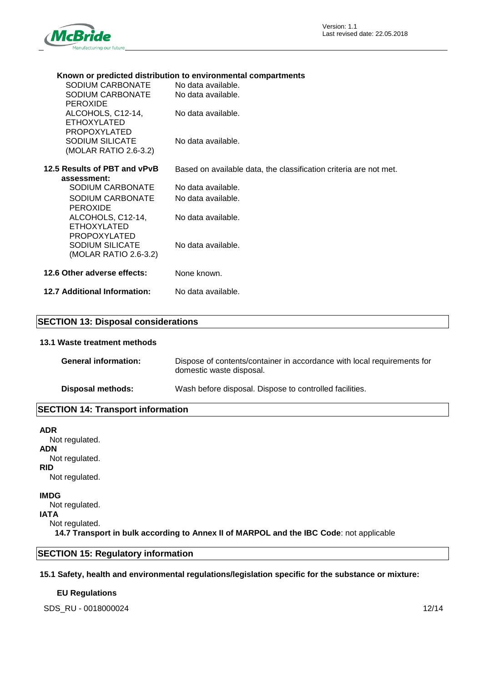

### **Known or predicted distribution to environmental compartments**

| SODIUM CARBONATE                          | No data available.                                                |
|-------------------------------------------|-------------------------------------------------------------------|
| SODIUM CARBONATE                          | No data available.                                                |
| <b>PEROXIDE</b>                           |                                                                   |
| ALCOHOLS, C12-14,<br><b>ETHOXYLATED</b>   | No data available.                                                |
| PROPOXYLATED                              |                                                                   |
| <b>SODIUM SILICATE</b>                    | No data available.                                                |
| (MOLAR RATIO 2.6-3.2)                     |                                                                   |
| 12.5 Results of PBT and vPvB              | Based on available data, the classification criteria are not met. |
| assessment:                               |                                                                   |
| SODIUM CARBONATE                          | No data available.                                                |
| SODIUM CARBONATE                          | No data available.                                                |
| <b>PEROXIDE</b>                           |                                                                   |
| ALCOHOLS, C12-14,                         | No data available.                                                |
| <b>ETHOXYLATED</b><br><b>PROPOXYLATED</b> |                                                                   |
| <b>SODIUM SILICATE</b>                    | No data available.                                                |
| (MOLAR RATIO 2.6-3.2)                     |                                                                   |
|                                           |                                                                   |
| 12.6 Other adverse effects:               | None known.                                                       |
| 12.7 Additional Information:              | No data available.                                                |
|                                           |                                                                   |

### **SECTION 13: Disposal considerations**

### **13.1 Waste treatment methods**

| <b>General information:</b> | Dispose of contents/container in accordance with local requirements for<br>domestic waste disposal. |
|-----------------------------|-----------------------------------------------------------------------------------------------------|
| Disposal methods:           | Wash before disposal. Dispose to controlled facilities.                                             |

### **SECTION 14: Transport information**

| <b>ADR</b>                                                                              |
|-----------------------------------------------------------------------------------------|
| Not regulated.                                                                          |
| <b>ADN</b>                                                                              |
| Not regulated.                                                                          |
| <b>RID</b>                                                                              |
| Not regulated.                                                                          |
| <b>IMDG</b>                                                                             |
| Not regulated.                                                                          |
| <b>IATA</b>                                                                             |
| Not regulated.                                                                          |
| 14.7 Transport in bulk according to Annex II of MARPOL and the IBC Code: not applicable |
|                                                                                         |

## **SECTION 15: Regulatory information**

### **15.1 Safety, health and environmental regulations/legislation specific for the substance or mixture:**

### **EU Regulations**

SDS\_RU - 0018000024 12/14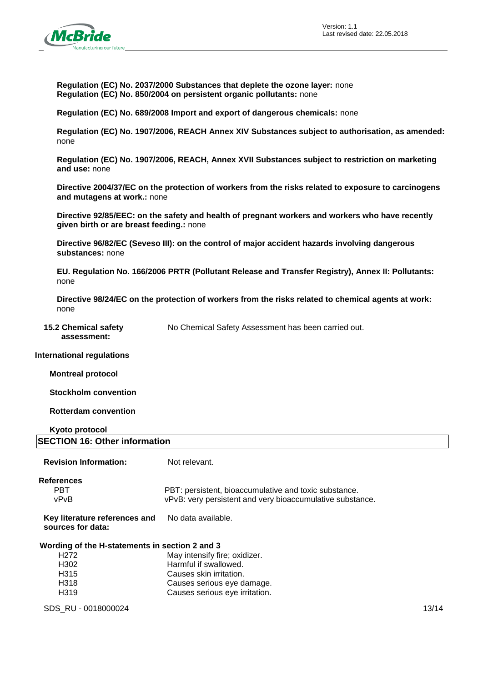

**Regulation (EC) No. 2037/2000 Substances that deplete the ozone layer:** none **Regulation (EC) No. 850/2004 on persistent organic pollutants:** none

**Regulation (EC) No. 689/2008 Import and export of dangerous chemicals:** none

**Regulation (EC) No. 1907/2006, REACH Annex XIV Substances subject to authorisation, as amended:**  none

**Regulation (EC) No. 1907/2006, REACH, Annex XVII Substances subject to restriction on marketing and use:** none

**Directive 2004/37/EC on the protection of workers from the risks related to exposure to carcinogens and mutagens at work.:** none

**Directive 92/85/EEC: on the safety and health of pregnant workers and workers who have recently given birth or are breast feeding.:** none

**Directive 96/82/EC (Seveso III): on the control of major accident hazards involving dangerous substances:** none

**EU. Regulation No. 166/2006 PRTR (Pollutant Release and Transfer Registry), Annex II: Pollutants:**  none

**Directive 98/24/EC on the protection of workers from the risks related to chemical agents at work:**  none

**15.2 Chemical safety assessment:**

No Chemical Safety Assessment has been carried out.

#### **International regulations**

**Montreal protocol**

**Stockholm convention**

**Rotterdam convention**

### **Kyoto protocol SECTION 16: Other information**

| <b>Revision Information:</b>                       | Not relevant.                                             |       |
|----------------------------------------------------|-----------------------------------------------------------|-------|
| <b>References</b>                                  |                                                           |       |
| <b>PBT</b>                                         | PBT: persistent, bioaccumulative and toxic substance.     |       |
| vPvB                                               | vPvB: very persistent and very bioaccumulative substance. |       |
| Key literature references and<br>sources for data: | No data available.                                        |       |
| Wording of the H-statements in section 2 and 3     |                                                           |       |
| H <sub>272</sub>                                   | May intensify fire; oxidizer.                             |       |
| H <sub>302</sub>                                   | Harmful if swallowed.                                     |       |
| H <sub>315</sub>                                   | Causes skin irritation.                                   |       |
| H <sub>3</sub> 18                                  | Causes serious eye damage.                                |       |
| H <sub>3</sub> 19                                  | Causes serious eye irritation.                            |       |
| SDS RU - 0018000024                                |                                                           | 13/14 |